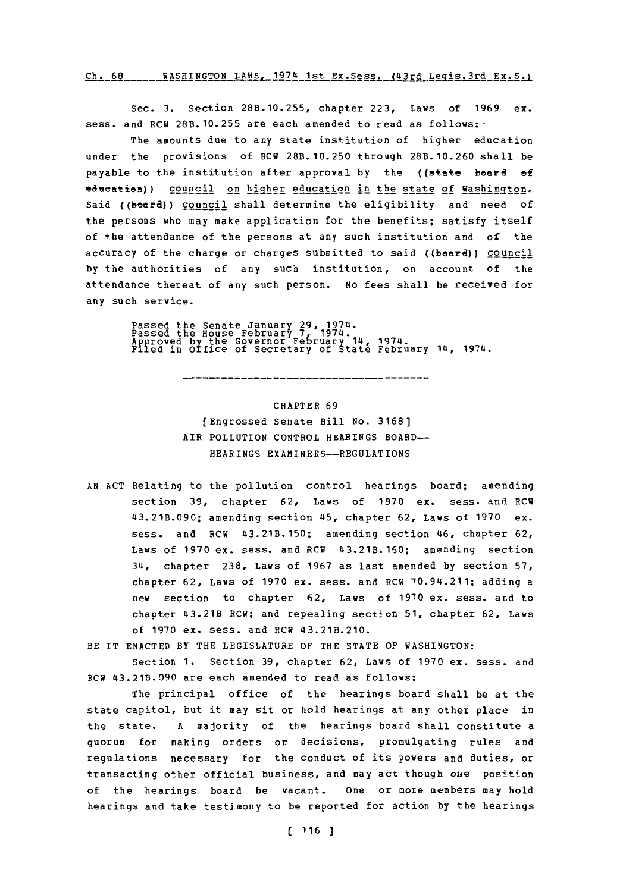## $Ch. 68$  \_\_\_\_\_ WASHINGTON LAWS \_ 1974 1st Ex. Sess. (43rd Legis. 3rd Ex. S.)

Sec. **3.** Section **28B.10.255,** chapter **223,** Laws of **1969** ex. sess. and RCW **28B.10.255** are each amended to read as follows:-

The amounts due to any state institution of higher education under the provisions **of** RCW **28B.10.250** through **28B.10.260** shall be payable to the institution after approval by the ((state board of education)) council on higher education in the state of Washington. Said ((board)) council shall determine the eligibility and need of the persons who may make application for the benefits; satisfy itself of the attendance of the persons at any such institution and of the accuracy of the charge or charges submitted to said ((beard)) council **by** the authorities of any such institution, on account. **of** the attendance thereat of any such person. No fees shall be received for any such service.

Passed the Senate January 29, 1974.<br>Passed the House February 7, 1974.<br>Approved by the Governor February 14, 1974.<br>Filed in Office of Secretary of State February 14, 1974.

CHAPTER **69** [Engrossed Senate Bill **No. 3168]** AIR POLLUTION CONTROL **HEARINGS** BOARD~- HEARINGS EXAMINERS-REGULATIONS

- **AN ACT** Relating to the pollution control hearings board; amending section **39,** chapter **62,** Laws of **1970** ex. sess. and RCW 43.21B.090; amending section 45, chapter **62,** Laws of **1970** ex. sess. and RCW 43.21B.150; amending section 46, chapter **62,** Laws of **1970** ex. sess. and RCW 43.21B.160; amending section 34, chapter **238,** Laws of **1967** as last amended **by** section **57,** chapter **62,** Laws of **1970** ex. sess. and RCW 70.94.211; adding a new section to chapter 62, Laws of 1970 ex. sess. and to chapter 43.21B RCW; and repealing section **51,** chapter **62,** Laws of **1970** ex. mess, and RCW 43.21B.210.
- BE IT **ENACTED** BY THE LEGISLATURE OF THE **STATE** OF WASHINGTON:

Section 1. Section 39, chapter 62, Laws of 1970 ex. sess. and RCW 43.21B.090 are each amended to read as follows:

The principal office of the hearings board shall be at the state capitol, but it may sit or hold hearings at any other place in the state. **A** majority of the hearings board shall constitute a quorum for making orders or decisions, promulgating rules and regulations necessary for the conduct of its powers and duties, or transacting other official business, and may act though one position of the hearings board be vacant. one or more members may hold hearings and take testimony to be reported for action **by** the hearings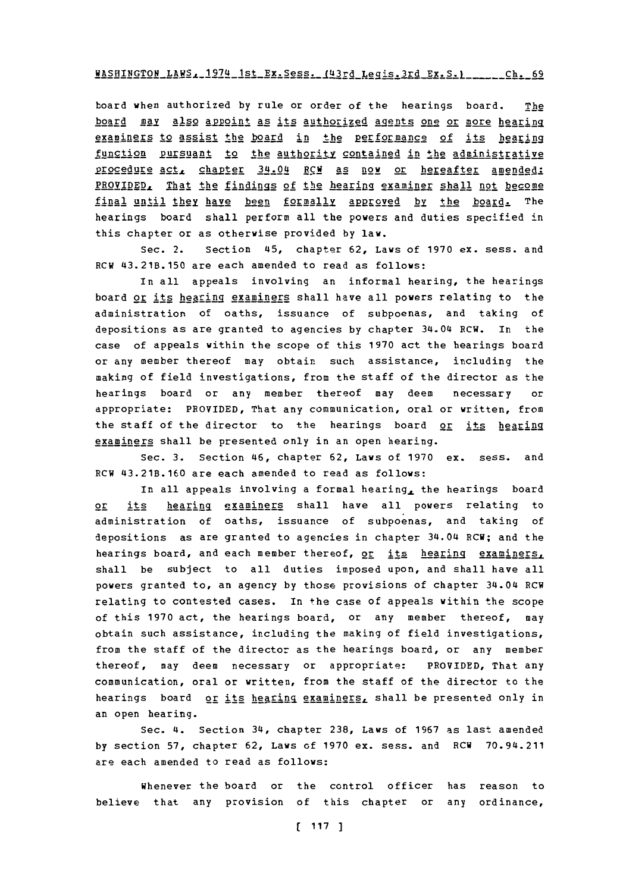## WASHINGTON\_LAWS. 1974 1st Ex. Sess. 143rd Legis. 3rd Ex. S. 1 \_\_\_\_\_\_\_ Ch. 69

board when authorized **by** rule or order of the hearings board. The board may also appoint as its authorized agents one or more hearing examiners to assist the board in the performance of its hearing function pursuant to the authority contained in the administrative procedure act, chapter 34.04 RCW as now or hereafter amended: PROVIDED, That the findings of the hearing examiner shall not become final until they have been formally approved by the board. The hearings board shall perform all the powers and duties specified in this chapter or as otherwise provided **by** law.

Sec. 2. Section 45, chapter **62,** Laws of **1970** ex. sess. and ROW 43.21B.150 are each amended to read as follows:

In all appeals involving an informal hearing, the hearings board or its hearing examiners shall have all powers relating to the administration of oaths, issuance of subpoenas, and taking of depositions as are granted to agencies **by** chapter 34.04 ROW. In the case of appeals within the scope of this **1970** act the hearings board or any member thereof may obtain such assistance, including the making of field investigations, from the staff of the director as the hearings board or any member thereof may deem necessary or appropriate: PROVIDED, That any communication, oral or written, from the staff of the director to the hearings board or its hearing examiners shall be presented only in an open hearing.

Sec. **3.** section 46, chapter **62,** Laws **Of 1970** ex. sess. and RCW 43.21B.160 are each amended to read as follows:

In all appeals involving a formal hearing, the hearings board or its hearing examiners shall have all powers relating to administration of oaths, issuance of subpoenas, and taking of depositions as are granted to agencies in chapter 34.04 RCW; and the hearings board, and each member thereof, or its hearing examiners, shall be subject to all duties imposed upon, and shall have all powers granted to, an agency **by** those provisions of chapter 34.04 ROW relating to contested cases. In the case of appeals within the scope of this **1970** act, the hearings board, or any member thereof, may obtain such assistance, including the making of field investigations, from the staff of the director as the hearings board, or any member thereof, may deem necessary or appropriate: PROVIDED, That any communication, oral or written, from the staff of the director to the hearings board or its hearing examiners, shall be presented only in an open bearing.

Sec. 4. Section 34, chapter **238,** Laws of **1967** as last amended **by** section **57,** chapter **62,** Laws of **1970** ex. sess. and ROW 70.94.211 are each amended to read as follows:

whenever the board or the control officer has reason to believe that any provision of this chapter or any ordinance,